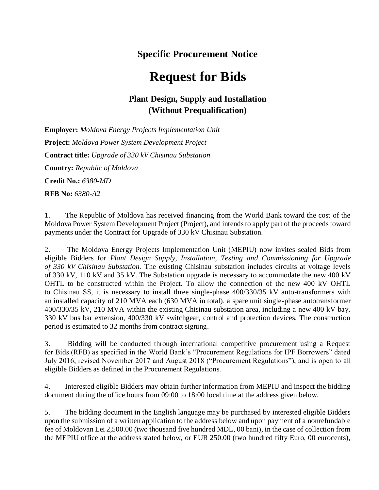## **Specific Procurement Notice**

## **Request for Bids**

## **Plant Design, Supply and Installation (Without Prequalification)**

**Employer:** *Moldova Energy Projects Implementation Unit* **Project:** *Moldova Power System Development Project* **Contract title:** *Upgrade of 330 kV Chisinau Substation* **Country:** *Republic of Moldova* **Credit No.:** *6380-MD*  **RFB No:** *6380-A2*

1. The Republic of Moldova has received financing from the World Bank toward the cost of the Moldova Power System Development Project (Project), and intends to apply part of the proceeds toward payments under the Contract for Upgrade of 330 kV Chisinau Substation.

2. The Moldova Energy Projects Implementation Unit (MEPIU) now invites sealed Bids from eligible Bidders for *Plant Design Supply, Installation, Testing and Commissioning for Upgrade of 330 kV Chisinau Substation.* The existing Chisinau substation includes circuits at voltage levels of 330 kV, 110 kV and 35 kV. The Substation upgrade is necessary to accommodate the new 400 kV OHTL to be constructed within the Project. To allow the connection of the new 400 kV OHTL to Chisinau SS, it is necessary to install three single-phase 400/330/35 kV auto-transformers with an installed capacity of 210 MVA each (630 MVA in total), a spare unit single-phase autotransformer 400/330/35 kV, 210 MVA within the existing Chisinau substation area, including a new 400 kV bay, 330 kV bus bar extension, 400/330 kV switchgear, control and protection devices. The construction period is estimated to 32 months from contract signing.

3. Bidding will be conducted through international competitive procurement using a Request for Bids (RFB) as specified in the World Bank's "Procurement Regulations for IPF Borrowers" dated July 2016, revised November 2017 and August 2018 ("Procurement Regulations"), and is open to all eligible Bidders as defined in the Procurement Regulations.

4. Interested eligible Bidders may obtain further information from MEPIU and inspect the bidding document during the office hours from 09:00 to 18:00 local time at the address given below*.*

5. The bidding document in the English language may be purchased by interested eligible Bidders upon the submission of a written application to the address below and upon payment of a nonrefundable fee of Moldovan Lei 2,500.00 (two thousand five hundred MDL, 00 bani), in the case of collection from the MEPIU office at the address stated below, or EUR 250.00 (two hundred fifty Euro, 00 eurocents),